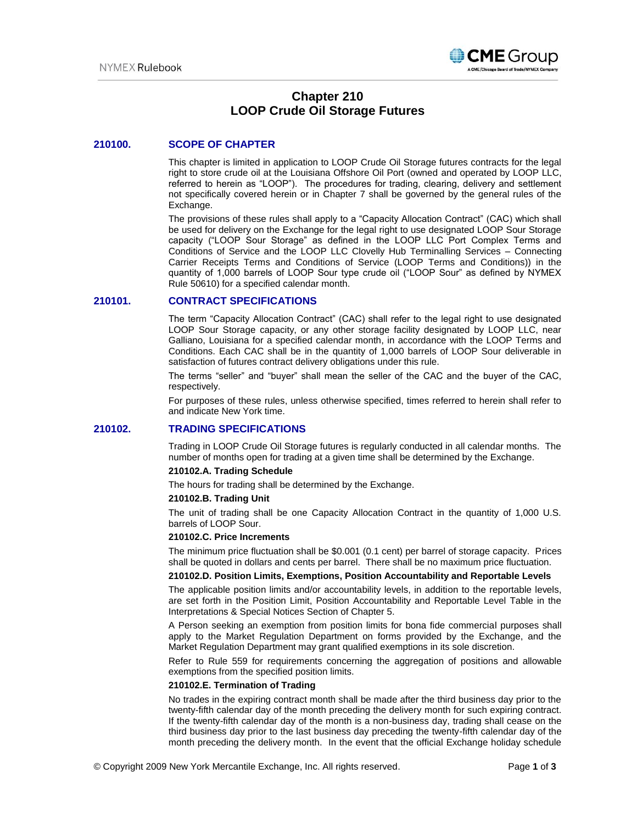

# **Chapter 210 LOOP Crude Oil Storage Futures**

## **210100. SCOPE OF CHAPTER**

This chapter is limited in application to LOOP Crude Oil Storage futures contracts for the legal right to store crude oil at the Louisiana Offshore Oil Port (owned and operated by LOOP LLC, referred to herein as "LOOP"). The procedures for trading, clearing, delivery and settlement not specifically covered herein or in Chapter 7 shall be governed by the general rules of the Exchange.

The provisions of these rules shall apply to a "Capacity Allocation Contract" (CAC) which shall be used for delivery on the Exchange for the legal right to use designated LOOP Sour Storage capacity ("LOOP Sour Storage" as defined in the LOOP LLC Port Complex Terms and Conditions of Service and the LOOP LLC Clovelly Hub Terminalling Services – Connecting Carrier Receipts Terms and Conditions of Service (LOOP Terms and Conditions)) in the quantity of 1,000 barrels of LOOP Sour type crude oil ("LOOP Sour" as defined by NYMEX Rule 50610) for a specified calendar month.

## **210101. CONTRACT SPECIFICATIONS**

The term "Capacity Allocation Contract" (CAC) shall refer to the legal right to use designated LOOP Sour Storage capacity, or any other storage facility designated by LOOP LLC, near Galliano, Louisiana for a specified calendar month, in accordance with the LOOP Terms and Conditions. Each CAC shall be in the quantity of 1,000 barrels of LOOP Sour deliverable in satisfaction of futures contract delivery obligations under this rule.

The terms "seller" and "buyer" shall mean the seller of the CAC and the buyer of the CAC, respectively.

For purposes of these rules, unless otherwise specified, times referred to herein shall refer to and indicate New York time.

## **210102. TRADING SPECIFICATIONS**

Trading in LOOP Crude Oil Storage futures is regularly conducted in all calendar months. The number of months open for trading at a given time shall be determined by the Exchange.

#### **210102.A. Trading Schedule**

The hours for trading shall be determined by the Exchange.

### **210102.B. Trading Unit**

The unit of trading shall be one Capacity Allocation Contract in the quantity of 1,000 U.S. barrels of LOOP Sour.

## **210102.C. Price Increments**

The minimum price fluctuation shall be \$0.001 (0.1 cent) per barrel of storage capacity. Prices shall be quoted in dollars and cents per barrel. There shall be no maximum price fluctuation.

#### **210102.D. Position Limits, Exemptions, Position Accountability and Reportable Levels**

The applicable position limits and/or accountability levels, in addition to the reportable levels, are set forth in the Position Limit, Position Accountability and Reportable Level Table in the Interpretations & Special Notices Section of Chapter 5.

A Person seeking an exemption from position limits for bona fide commercial purposes shall apply to the Market Regulation Department on forms provided by the Exchange, and the Market Regulation Department may grant qualified exemptions in its sole discretion.

Refer to Rule 559 for requirements concerning the aggregation of positions and allowable exemptions from the specified position limits.

#### **210102.E. Termination of Trading**

No trades in the expiring contract month shall be made after the third business day prior to the twenty-fifth calendar day of the month preceding the delivery month for such expiring contract. If the twenty-fifth calendar day of the month is a non-business day, trading shall cease on the third business day prior to the last business day preceding the twenty-fifth calendar day of the month preceding the delivery month. In the event that the official Exchange holiday schedule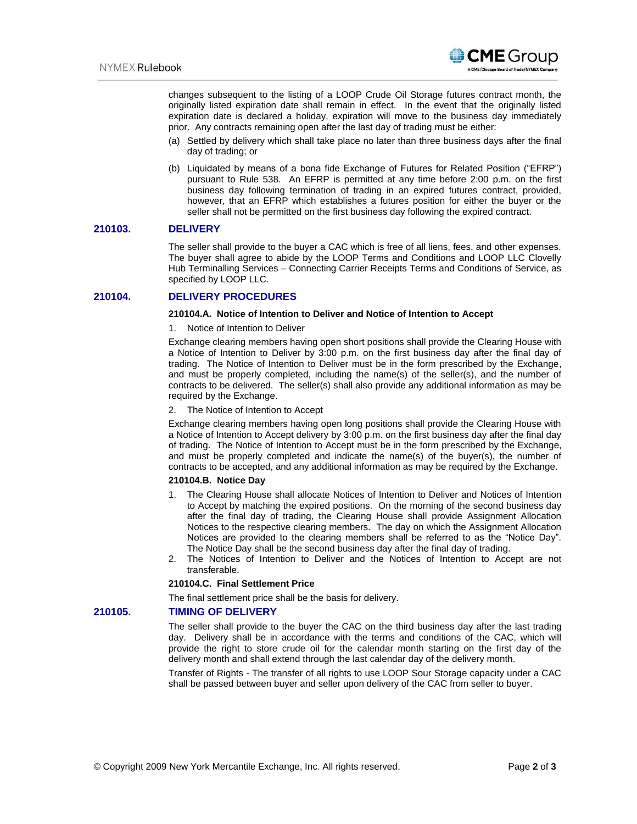

changes subsequent to the listing of a LOOP Crude Oil Storage futures contract month, the originally listed expiration date shall remain in effect. In the event that the originally listed expiration date is declared a holiday, expiration will move to the business day immediately prior. Any contracts remaining open after the last day of trading must be either:

- (a) Settled by delivery which shall take place no later than three business days after the final day of trading; or
- (b) Liquidated by means of a bona fide Exchange of Futures for Related Position ("EFRP") pursuant to Rule 538. An EFRP is permitted at any time before 2:00 p.m. on the first business day following termination of trading in an expired futures contract, provided, however, that an EFRP which establishes a futures position for either the buyer or the seller shall not be permitted on the first business day following the expired contract.

### **210103. DELIVERY**

The seller shall provide to the buyer a CAC which is free of all liens, fees, and other expenses. The buyer shall agree to abide by the LOOP Terms and Conditions and LOOP LLC Clovelly Hub Terminalling Services – Connecting Carrier Receipts Terms and Conditions of Service, as specified by LOOP LLC.

## **210104. DELIVERY PROCEDURES**

#### **210104.A. Notice of Intention to Deliver and Notice of Intention to Accept**

#### 1. Notice of Intention to Deliver

Exchange clearing members having open short positions shall provide the Clearing House with a Notice of Intention to Deliver by 3:00 p.m. on the first business day after the final day of trading. The Notice of Intention to Deliver must be in the form prescribed by the Exchange, and must be properly completed, including the name(s) of the seller(s), and the number of contracts to be delivered. The seller(s) shall also provide any additional information as may be required by the Exchange.

#### 2. The Notice of Intention to Accept

Exchange clearing members having open long positions shall provide the Clearing House with a Notice of Intention to Accept delivery by 3:00 p.m. on the first business day after the final day of trading. The Notice of Intention to Accept must be in the form prescribed by the Exchange, and must be properly completed and indicate the name(s) of the buyer(s), the number of contracts to be accepted, and any additional information as may be required by the Exchange.

#### **210104.B. Notice Day**

- 1. The Clearing House shall allocate Notices of Intention to Deliver and Notices of Intention to Accept by matching the expired positions. On the morning of the second business day after the final day of trading, the Clearing House shall provide Assignment Allocation Notices to the respective clearing members. The day on which the Assignment Allocation Notices are provided to the clearing members shall be referred to as the "Notice Day". The Notice Day shall be the second business day after the final day of trading.
- 2. The Notices of Intention to Deliver and the Notices of Intention to Accept are not transferable.

## **210104.C. Final Settlement Price**

The final settlement price shall be the basis for delivery.

## **210105. TIMING OF DELIVERY**

The seller shall provide to the buyer the CAC on the third business day after the last trading day. Delivery shall be in accordance with the terms and conditions of the CAC, which will provide the right to store crude oil for the calendar month starting on the first day of the delivery month and shall extend through the last calendar day of the delivery month.

Transfer of Rights - The transfer of all rights to use LOOP Sour Storage capacity under a CAC shall be passed between buyer and seller upon delivery of the CAC from seller to buyer.